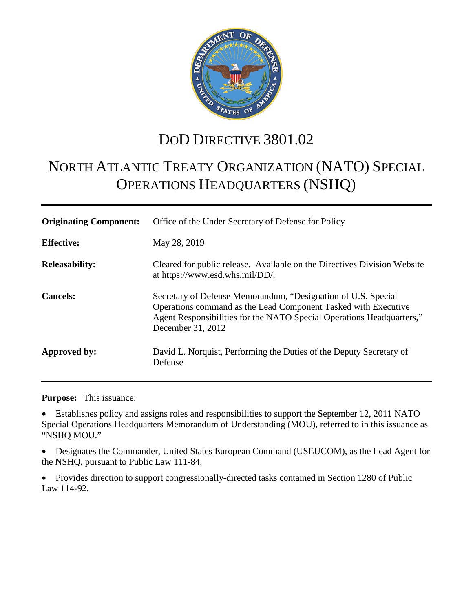

## DOD DIRECTIVE 3801.02

# NORTH ATLANTIC TREATY ORGANIZATION (NATO) SPECIAL OPERATIONS HEADQUARTERS (NSHQ)

| <b>Originating Component:</b> | Office of the Under Secretary of Defense for Policy                                                                                                                                                                           |
|-------------------------------|-------------------------------------------------------------------------------------------------------------------------------------------------------------------------------------------------------------------------------|
| <b>Effective:</b>             | May 28, 2019                                                                                                                                                                                                                  |
| <b>Releasability:</b>         | Cleared for public release. Available on the Directives Division Website<br>at https://www.esd.whs.mil/DD/.                                                                                                                   |
| <b>Cancels:</b>               | Secretary of Defense Memorandum, "Designation of U.S. Special<br>Operations command as the Lead Component Tasked with Executive<br>Agent Responsibilities for the NATO Special Operations Headquarters,"<br>December 31, 2012 |
| Approved by:                  | David L. Norquist, Performing the Duties of the Deputy Secretary of<br>Defense                                                                                                                                                |

**Purpose:** This issuance:

• Establishes policy and assigns roles and responsibilities to support the September 12, 2011 NATO Special Operations Headquarters Memorandum of Understanding (MOU), referred to in this issuance as "NSHQ MOU."

• Designates the Commander, United States European Command (USEUCOM), as the Lead Agent for the NSHQ, pursuant to Public Law 111-84.

• Provides direction to support congressionally-directed tasks contained in Section 1280 of Public Law 114-92.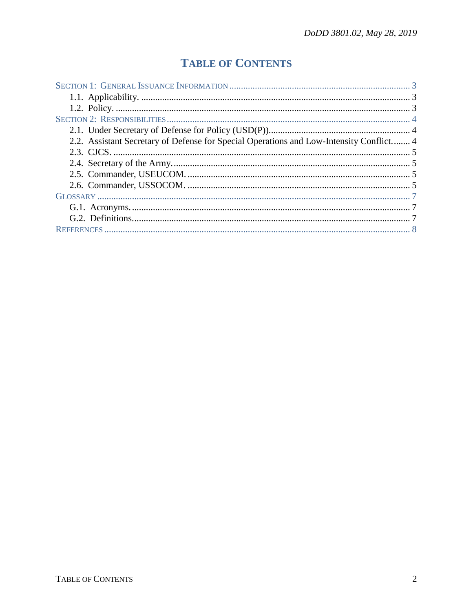## **TABLE OF CONTENTS**

| 2.2. Assistant Secretary of Defense for Special Operations and Low-Intensity Conflict 4 |  |
|-----------------------------------------------------------------------------------------|--|
|                                                                                         |  |
|                                                                                         |  |
|                                                                                         |  |
|                                                                                         |  |
|                                                                                         |  |
|                                                                                         |  |
|                                                                                         |  |
|                                                                                         |  |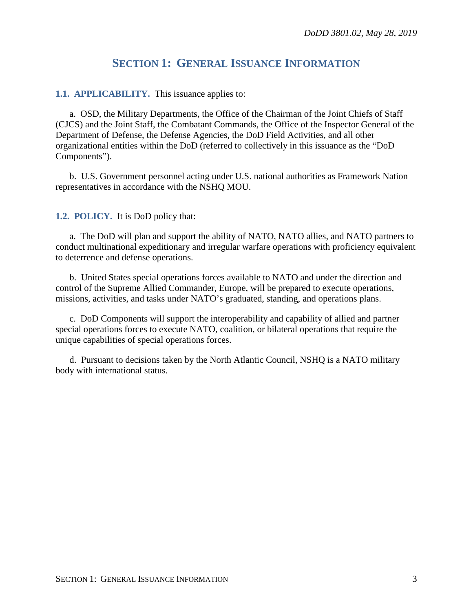### **SECTION 1: GENERAL ISSUANCE INFORMATION**

#### <span id="page-2-1"></span><span id="page-2-0"></span>**1.1. APPLICABILITY.** This issuance applies to:

a. OSD, the Military Departments, the Office of the Chairman of the Joint Chiefs of Staff (CJCS) and the Joint Staff, the Combatant Commands, the Office of the Inspector General of the Department of Defense, the Defense Agencies, the DoD Field Activities, and all other organizational entities within the DoD (referred to collectively in this issuance as the "DoD Components").

b. U.S. Government personnel acting under U.S. national authorities as Framework Nation representatives in accordance with the NSHQ MOU.

<span id="page-2-2"></span>**1.2. POLICY.** It is DoD policy that:

a. The DoD will plan and support the ability of NATO, NATO allies, and NATO partners to conduct multinational expeditionary and irregular warfare operations with proficiency equivalent to deterrence and defense operations.

b. United States special operations forces available to NATO and under the direction and control of the Supreme Allied Commander, Europe, will be prepared to execute operations, missions, activities, and tasks under NATO's graduated, standing, and operations plans.

c. DoD Components will support the interoperability and capability of allied and partner special operations forces to execute NATO, coalition, or bilateral operations that require the unique capabilities of special operations forces.

d. Pursuant to decisions taken by the North Atlantic Council, NSHQ is a NATO military body with international status.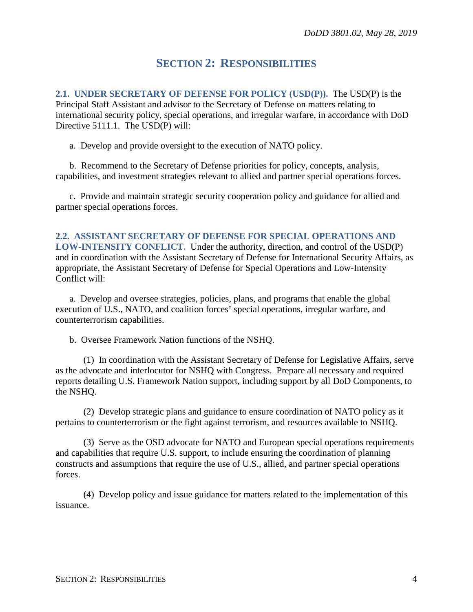## **SECTION 2: RESPONSIBILITIES**

<span id="page-3-1"></span><span id="page-3-0"></span>**2.1. UNDER SECRETARY OF DEFENSE FOR POLICY (USD(P)).** The USD(P) is the Principal Staff Assistant and advisor to the Secretary of Defense on matters relating to international security policy, special operations, and irregular warfare, in accordance with DoD Directive 5111.1. The USD(P) will:

a. Develop and provide oversight to the execution of NATO policy.

b. Recommend to the Secretary of Defense priorities for policy, concepts, analysis, capabilities, and investment strategies relevant to allied and partner special operations forces.

c. Provide and maintain strategic security cooperation policy and guidance for allied and partner special operations forces.

<span id="page-3-2"></span>**2.2. ASSISTANT SECRETARY OF DEFENSE FOR SPECIAL OPERATIONS AND LOW-INTENSITY CONFLICT.** Under the authority, direction, and control of the USD(P) and in coordination with the Assistant Secretary of Defense for International Security Affairs, as appropriate, the Assistant Secretary of Defense for Special Operations and Low-Intensity Conflict will:

a. Develop and oversee strategies, policies, plans, and programs that enable the global execution of U.S., NATO, and coalition forces' special operations, irregular warfare, and counterterrorism capabilities.

b. Oversee Framework Nation functions of the NSHQ.

(1) In coordination with the Assistant Secretary of Defense for Legislative Affairs, serve as the advocate and interlocutor for NSHQ with Congress. Prepare all necessary and required reports detailing U.S. Framework Nation support, including support by all DoD Components, to the NSHQ.

(2) Develop strategic plans and guidance to ensure coordination of NATO policy as it pertains to counterterrorism or the fight against terrorism, and resources available to NSHQ.

(3) Serve as the OSD advocate for NATO and European special operations requirements and capabilities that require U.S. support, to include ensuring the coordination of planning constructs and assumptions that require the use of U.S., allied, and partner special operations forces.

(4) Develop policy and issue guidance for matters related to the implementation of this issuance.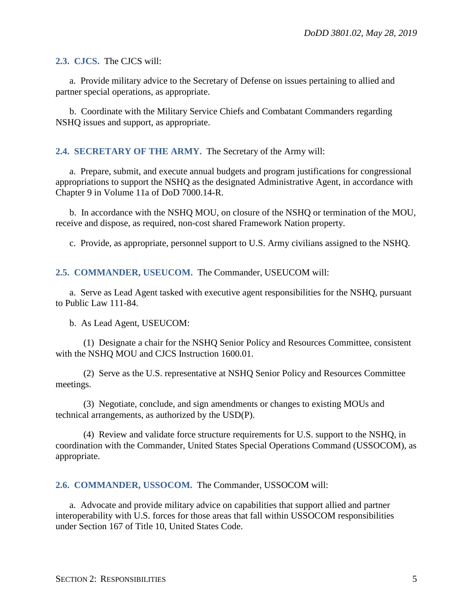<span id="page-4-0"></span>**2.3. CJCS.** The CJCS will:

a. Provide military advice to the Secretary of Defense on issues pertaining to allied and partner special operations, as appropriate.

b. Coordinate with the Military Service Chiefs and Combatant Commanders regarding NSHQ issues and support, as appropriate.

#### <span id="page-4-1"></span>**2.4. SECRETARY OF THE ARMY.** The Secretary of the Army will:

a. Prepare, submit, and execute annual budgets and program justifications for congressional appropriations to support the NSHQ as the designated Administrative Agent, in accordance with Chapter 9 in Volume 11a of DoD 7000.14-R.

b. In accordance with the NSHQ MOU, on closure of the NSHQ or termination of the MOU, receive and dispose, as required, non-cost shared Framework Nation property.

c. Provide, as appropriate, personnel support to U.S. Army civilians assigned to the NSHQ.

<span id="page-4-2"></span>**2.5. COMMANDER, USEUCOM.** The Commander, USEUCOM will:

a. Serve as Lead Agent tasked with executive agent responsibilities for the NSHQ, pursuant to Public Law 111-84.

b. As Lead Agent, USEUCOM:

(1) Designate a chair for the NSHQ Senior Policy and Resources Committee, consistent with the NSHQ MOU and CJCS Instruction 1600.01.

(2) Serve as the U.S. representative at NSHQ Senior Policy and Resources Committee meetings.

(3) Negotiate, conclude, and sign amendments or changes to existing MOUs and technical arrangements, as authorized by the USD(P).

(4) Review and validate force structure requirements for U.S. support to the NSHQ, in coordination with the Commander, United States Special Operations Command (USSOCOM), as appropriate.

<span id="page-4-3"></span>**2.6. COMMANDER, USSOCOM.** The Commander, USSOCOM will:

a. Advocate and provide military advice on capabilities that support allied and partner interoperability with U.S. forces for those areas that fall within USSOCOM responsibilities under Section 167 of Title 10, United States Code.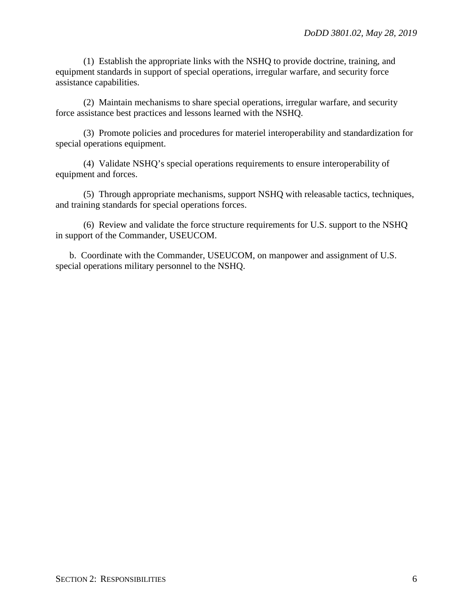(1) Establish the appropriate links with the NSHQ to provide doctrine, training, and equipment standards in support of special operations, irregular warfare, and security force assistance capabilities.

(2) Maintain mechanisms to share special operations, irregular warfare, and security force assistance best practices and lessons learned with the NSHQ.

(3) Promote policies and procedures for materiel interoperability and standardization for special operations equipment.

(4) Validate NSHQ's special operations requirements to ensure interoperability of equipment and forces.

(5) Through appropriate mechanisms, support NSHQ with releasable tactics, techniques, and training standards for special operations forces.

(6) Review and validate the force structure requirements for U.S. support to the NSHQ in support of the Commander, USEUCOM.

b. Coordinate with the Commander, USEUCOM, on manpower and assignment of U.S. special operations military personnel to the NSHQ.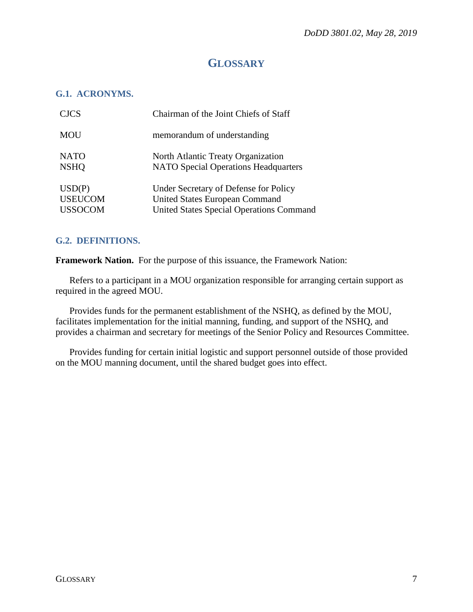## **GLOSSARY**

#### <span id="page-6-1"></span><span id="page-6-0"></span>**G.1. ACRONYMS.**

| <b>CJCS</b>    | Chairman of the Joint Chiefs of Staff           |
|----------------|-------------------------------------------------|
| <b>MOU</b>     | memorandum of understanding                     |
| <b>NATO</b>    | North Atlantic Treaty Organization              |
| <b>NSHO</b>    | <b>NATO Special Operations Headquarters</b>     |
| USD(P)         | Under Secretary of Defense for Policy           |
| <b>USEUCOM</b> | <b>United States European Command</b>           |
| <b>USSOCOM</b> | <b>United States Special Operations Command</b> |

#### <span id="page-6-2"></span>**G.2. DEFINITIONS.**

**Framework Nation.** For the purpose of this issuance, the Framework Nation:

 Refers to a participant in a MOU organization responsible for arranging certain support as required in the agreed MOU.

 Provides funds for the permanent establishment of the NSHQ, as defined by the MOU, facilitates implementation for the initial manning, funding, and support of the NSHQ, and provides a chairman and secretary for meetings of the Senior Policy and Resources Committee.

 Provides funding for certain initial logistic and support personnel outside of those provided on the MOU manning document, until the shared budget goes into effect.